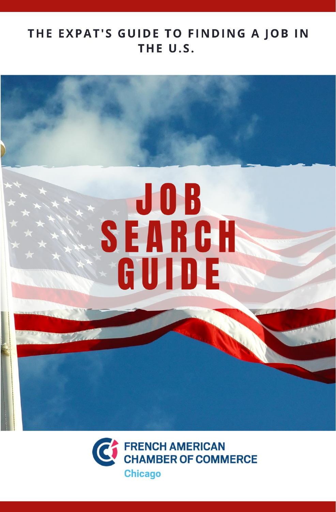# THE EXPAT'S GUIDE TO FINDING A JOB IN THE U.S.



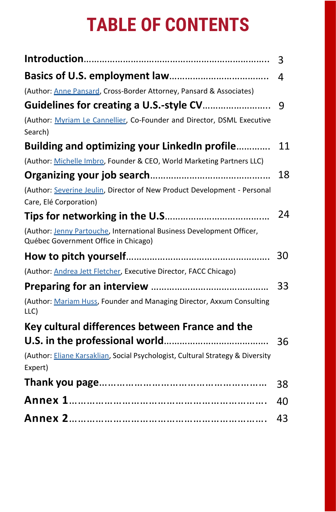# **TABLE OF CONTENTS**

|                                                                                                               | 3  |
|---------------------------------------------------------------------------------------------------------------|----|
|                                                                                                               | 4  |
| (Author: Anne Pansard, Cross-Border Attorney, Pansard & Associates)                                           |    |
|                                                                                                               | 9  |
| (Author: Myriam Le Cannellier, Co-Founder and Director, DSML Executive<br>Search)                             |    |
| Building and optimizing your LinkedIn profile                                                                 | 11 |
| (Author: Michelle Imbro, Founder & CEO, World Marketing Partners LLC)                                         |    |
|                                                                                                               | 18 |
| (Author: Severine Jeulin, Director of New Product Development - Personal<br>Care, Elé Corporation)            |    |
|                                                                                                               | 24 |
| (Author: Jenny Partouche, International Business Development Officer,<br>Québec Government Office in Chicago) |    |
|                                                                                                               | 30 |
| (Author: Andrea Jett Fletcher, Executive Director, FACC Chicago)                                              |    |
|                                                                                                               | 33 |
| (Author: Mariam Huss, Founder and Managing Director, Axxum Consulting<br>LLC)                                 |    |
| Key cultural differences between France and the                                                               |    |
|                                                                                                               | 36 |
| (Author: Eliane Karsaklian, Social Psychologist, Cultural Strategy & Diversity                                |    |
| Expert)                                                                                                       |    |
|                                                                                                               | 38 |
|                                                                                                               | 40 |
|                                                                                                               | 43 |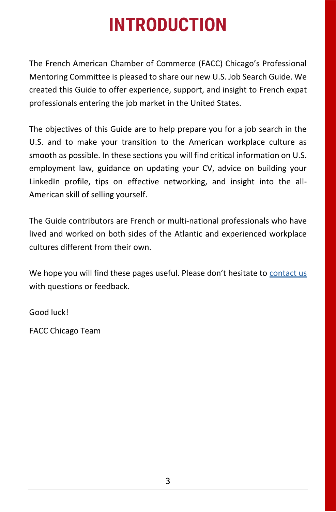# **INTRODUCTION**

The French American Chamber of Commerce (FACC) Chicago's Professional Mentoring Committee is pleased to share our new U.S. Job Search Guide. We created this Guide to offer experience, support, and insight to French expat professionals entering the job market in the United States.

The objectives of this Guide are to help prepare you for a job search in the U.S. and to make your transition to the American workplace culture as smooth as possible. In these sections you will find critical information on U.S. employment law, guidance on updating your CV, advice on building your LinkedIn profile, tips on effective networking, and insight into the all-American skill of selling yourself.

The Guide contributors are French or multi-national professionals who have lived and worked on both sides of the Atlantic and experienced workplace cultures different from their own.

We hope you will find these pages useful. Please don't hesitate to [contact us](mailto:information@facc-chicago.com) with questions or feedback.

Good luck!

FACC Chicago Team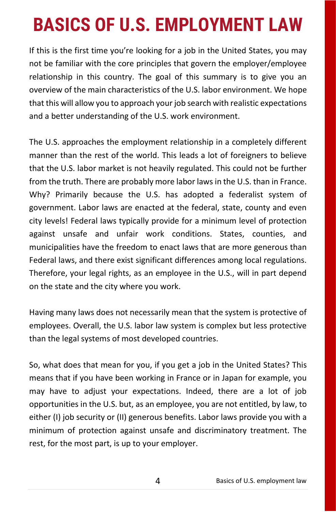# **BASICS OF U.S. EMPLOYMENT LAW**

If this is the first time you're looking for a job in the United States, you may not be familiar with the core principles that govern the employer/employee relationship in this country. The goal of this summary is to give you an overview of the main characteristics of the U.S. labor environment. We hope that this will allow you to approach your job search with realistic expectations and a better understanding of the U.S. work environment.

The U.S. approaches the employment relationship in a completely different manner than the rest of the world. This leads a lot of foreigners to believe that the U.S. labor market is not heavily regulated. This could not be further from the truth. There are probably more labor laws in the U.S. than in France. Why? Primarily because the U.S. has adopted a federalist system of government. Labor laws are enacted at the federal, state, county and even city levels! Federal laws typically provide for a minimum level of protection against unsafe and unfair work conditions. States, counties, and municipalities have the freedom to enact laws that are more generous than Federal laws, and there exist significant differences among local regulations. Therefore, your legal rights, as an employee in the U.S., will in part depend on the state and the city where you work.

Having many laws does not necessarily mean that the system is protective of employees. Overall, the U.S. labor law system is complex but less protective than the legal systems of most developed countries.

So, what does that mean for you, if you get a job in the United States? This means that if you have been working in France or in Japan for example, you may have to adjust your expectations. Indeed, there are a lot of job opportunities in the U.S. but, as an employee, you are not entitled, by law, to either (I) job security or (II) generous benefits. Labor laws provide you with a minimum of protection against unsafe and discriminatory treatment. The rest, for the most part, is up to your employer.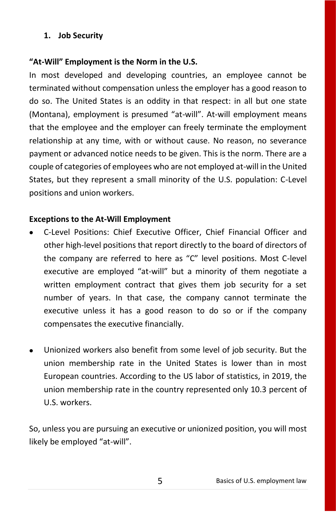#### **1. Job Security**

#### **"At-Will" Employment is the Norm in the U.S.**

In most developed and developing countries, an employee cannot be terminated without compensation unless the employer has a good reason to do so. The United States is an oddity in that respect: in all but one state (Montana), employment is presumed "at-will". At-will employment means that the employee and the employer can freely terminate the employment relationship at any time, with or without cause. No reason, no severance payment or advanced notice needs to be given. This is the norm. There are a couple of categories of employees who are not employed at-will in the United States, but they represent a small minority of the U.S. population: C-Level positions and union workers.

#### **Exceptions to the At-Will Employment**

- C-Level Positions: Chief Executive Officer, Chief Financial Officer and other high-level positions that report directly to the board of directors of the company are referred to here as "C" level positions. Most C-level executive are employed "at-will" but a minority of them negotiate a written employment contract that gives them job security for a set number of years. In that case, the company cannot terminate the executive unless it has a good reason to do so or if the company compensates the executive financially.
- Unionized workers also benefit from some level of job security. But the union membership rate in the United States is lower than in most European countries. According to the US labor of statistics, in 2019, the union membership rate in the country represented only 10.3 percent of U.S. workers.

So, unless you are pursuing an executive or unionized position, you will most likely be employed "at-will".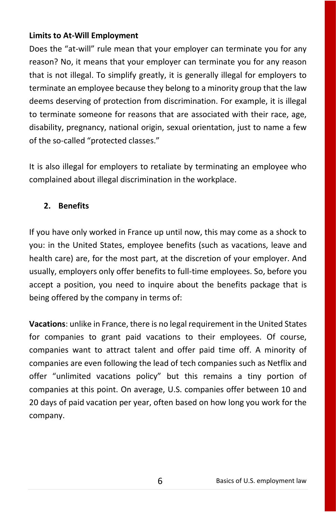#### **Limits to At-Will Employment**

Does the "at-will" rule mean that your employer can terminate you for any reason? No, it means that your employer can terminate you for any reason that is not illegal. To simplify greatly, it is generally illegal for employers to terminate an employee because they belong to a minority group that the law deems deserving of protection from discrimination. For example, it is illegal to terminate someone for reasons that are associated with their race, age, disability, pregnancy, national origin, sexual orientation, just to name a few of the so-called "protected classes."

It is also illegal for employers to retaliate by terminating an employee who complained about illegal discrimination in the workplace.

#### **2. Benefits**

If you have only worked in France up until now, this may come as a shock to you: in the United States, employee benefits (such as vacations, leave and health care) are, for the most part, at the discretion of your employer. And usually, employers only offer benefits to full-time employees. So, before you accept a position, you need to inquire about the benefits package that is being offered by the company in terms of:

**Vacations**: unlike in France, there is no legal requirement in the United States for companies to grant paid vacations to their employees. Of course, companies want to attract talent and offer paid time off. A minority of companies are even following the lead of tech companies such as Netflix and offer "unlimited vacations policy" but this remains a tiny portion of companies at this point. On average, U.S. companies offer between 10 and 20 days of paid vacation per year, often based on how long you work for the company.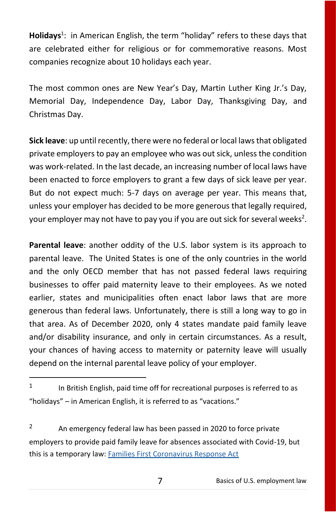Holidays<sup>1</sup>: in American English, the term "holiday" refers to these days that are celebrated either for religious or for commemorative reasons. Most companies recognize about 10 holidays each year.

The most common ones are New Year's Day, Martin Luther King Jr.'s Day, Memorial Day, Independence Day, Labor Day, Thanksgiving Day, and Christmas Day.

**Sick leave**: up until recently, there were no federal or local laws that obligated private employers to pay an employee who was out sick, unless the condition was work-related. In the last decade, an increasing number of local laws have been enacted to force employers to grant a few days of sick leave per year. But do not expect much: 5-7 days on average per year. This means that, unless your employer has decided to be more generous that legally required, your employer may not have to pay you if you are out sick for several weeks<sup>2</sup>.

**Parental leave**: another oddity of the U.S. labor system is its approach to parental leave. The United States is one of the only countries in the world and the only OECD member that has not passed federal laws requiring businesses to offer paid maternity leave to their employees. As we noted earlier, states and municipalities often enact labor laws that are more generous than federal laws. Unfortunately, there is still a long way to go in that area. As of December 2020, only 4 states mandate paid family leave and/or disability insurance, and only in certain circumstances. As a result, your chances of having access to maternity or paternity leave will usually depend on the internal parental leave policy of your employer.

<sup>1</sup> In British English, paid time off for recreational purposes is referred to as "holidays" – in American English, it is referred to as "vacations."

 $2 \text{ A}$ n emergency federal law has been passed in 2020 to force private employers to provide paid family leave for absences associated with Covid-19, but this is a temporary law: [Families First Coronavirus Response Act](https://www.dol.gov/agencies/whd/pandemic/ffcra-employee-paid-leave)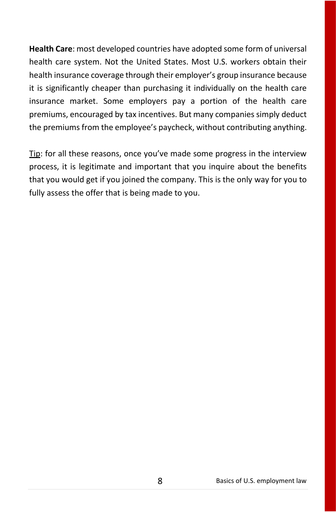**Health Care**: most developed countries have adopted some form of universal health care system. Not the United States. Most U.S. workers obtain their health insurance coverage through their employer's group insurance because it is significantly cheaper than purchasing it individually on the health care insurance market. Some employers pay a portion of the health care premiums, encouraged by tax incentives. But many companies simply deduct the premiums from the employee's paycheck, without contributing anything.

Tip: for all these reasons, once you've made some progress in the interview process, it is legitimate and important that you inquire about the benefits that you would get if you joined the company. This is the only way for you to fully assess the offer that is being made to you.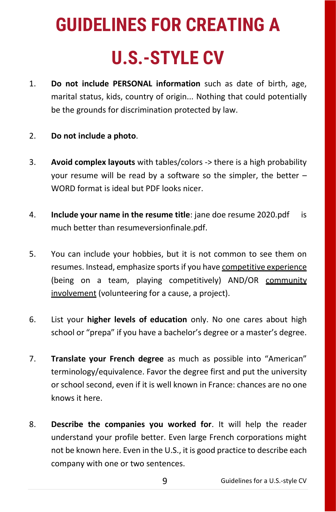# **GUIDELINES FOR CREATING A**

# **U.S.-STYLE CV**

- 1. **Do not include PERSONAL information** such as date of birth, age, marital status, kids, country of origin... Nothing that could potentially be the grounds for discrimination protected by law.
- 2. **Do not include a photo**.
- 3. **Avoid complex layouts** with tables/colors -> there is a high probability your resume will be read by a software so the simpler, the better – WORD format is ideal but PDF looks nicer.
- 4. **Include your name in the resume title**: jane doe resume 2020.pdf is much better than resumeversionfinale.pdf.
- 5. You can include your hobbies, but it is not common to see them on resumes. Instead, emphasize sports if you have competitive experience (being on a team, playing competitively) AND/OR community involvement (volunteering for a cause, a project).
- 6. List your **higher levels of education** only. No one cares about high school or "prepa" if you have a bachelor's degree or a master's degree.
- 7. **Translate your French degree** as much as possible into "American" terminology/equivalence. Favor the degree first and put the university or school second, even if it is well known in France: chances are no one knows it here.
- 8. **Describe the companies you worked for**. It will help the reader understand your profile better. Even large French corporations might not be known here. Even in the U.S., it is good practice to describe each company with one or two sentences.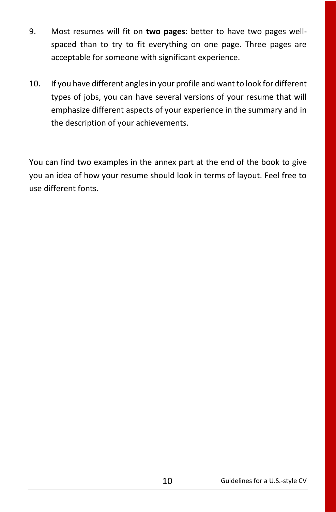- 9. Most resumes will fit on **two pages**: better to have two pages wellspaced than to try to fit everything on one page. Three pages are acceptable for someone with significant experience.
- 10. If you have different angles in your profile and want to look for different types of jobs, you can have several versions of your resume that will emphasize different aspects of your experience in the summary and in the description of your achievements.

You can find two examples in the annex part at the end of the book to give you an idea of how your resume should look in terms of layout. Feel free to use different fonts.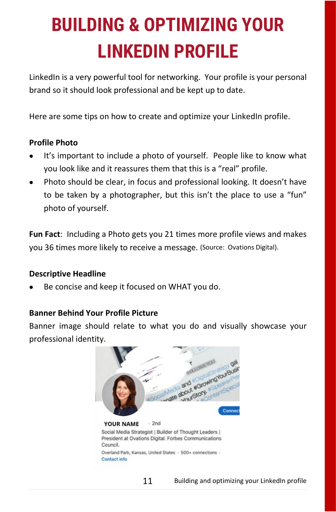# **BUILDING & OPTIMIZING YOUR LINKEDIN PROFILE**

LinkedIn is a very powerful tool for networking. Your profile is your personal brand so it should look professional and be kept up to date.

Here are some tips on how to create and optimize your LinkedIn profile.

#### **Profile Photo**

- It's important to include a photo of yourself. People like to know what you look like and it reassures them that this is a "real" profile.
- Photo should be clear, in focus and professional looking. It doesn't have to be taken by a photographer, but this isn't the place to use a "fun" photo of yourself.

**Fun Fact**: Including a Photo gets you 21 times more profile views and makes you 36 times more likely to receive a message. (Source: Ovations Digital).

#### **Descriptive Headline**

Be concise and keep it focused on WHAT you do.

#### **Banner Behind Your Profile Picture**

Banner image should relate to what you do and visually showcase your professional identity.

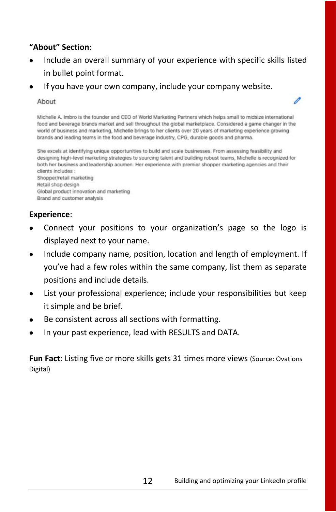#### **"About" Section**:

• Include an overall summary of your experience with specific skills listed in bullet point format.

ℐ

If you have your own company, include your company website.

#### About

Michelle A. Imbro is the founder and CEO of World Marketing Partners which helps small to midsize international food and beverage brands market and sell throughout the global marketplace. Considered a game changer in the world of business and marketing, Michelle brings to her clients over 20 years of marketing experience growing brands and leading teams in the food and beverage industry, CPG, durable goods and pharma.

She excels at identifying unique opportunities to build and scale businesses. From assessing feasibility and designing high-level marketing strategies to sourcing talent and building robust teams, Michelle is recognized for both her business and leadership acumen. Her experience with premier shopper marketing agencies and their clients includes : Shopper/retail marketing Retail shop design

Global product innovation and marketing Brand and customer analysis

#### **Experience**:

- Connect your positions to your organization's page so the logo is displayed next to your name.
- Include company name, position, location and length of employment. If you've had a few roles within the same company, list them as separate positions and include details.
- List your professional experience; include your responsibilities but keep it simple and be brief.
- Be consistent across all sections with formatting.
- In your past experience, lead with RESULTS and DATA.

**Fun Fact**: Listing five or more skills gets 31 times more views (Source: Ovations Digital)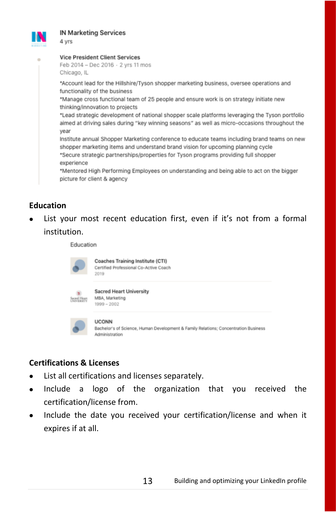

#### **IN Marketing Services** 4 yrs



Feb 2014 - Dec 2016 · 2 vrs 11 mos Chicago, IL

\*Account lead for the Hillshire/Tyson shopper marketing business, oversee operations and functionality of the business

\*Manage cross functional team of 25 people and ensure work is on strategy initiate new thinking/innovation to projects

\*Lead strategic development of national shopper scale platforms leveraging the Tyson portfolio aimed at driving sales during "key winning seasons" as well as micro-occasions throughout the year

Institute annual Shopper Marketing conference to educate teams including brand teams on new shopper marketing items and understand brand vision for upcoming planning cycle

\*Secure strategic partnerships/properties for Tyson programs providing full shopper experience

\*Mentored High Performing Employees on understanding and being able to act on the bigger picture for client & agency

#### **Education**

List your most recent education first, even if it's not from a formal institution.

Education



Coaches Training Institute (CTI) Certified Professional Co-Active Coach 2019



**Sacred Heart University** MBA, Marketing

 $1999 - 2002$ 



**LICONN** Bachelor's of Science, Human Development & Family Relations; Concentration Business Administration

#### **Certifications & Licenses**

- List all certifications and licenses separately.
- Include a logo of the organization that you received the certification/license from.
- Include the date you received your certification/license and when it expires if at all.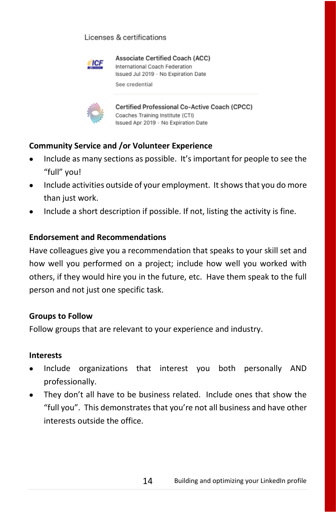#### Licenses & certifications



**Associate Certified Coach (ACC)** International Coach Federation Issued Jul 2019 - No Expiration Date See credential



**Certified Professional Co-Active Coach (CPCC)** Coaches Training Institute (CTI) Issued Apr 2019 · No Expiration Date

#### **Community Service and /or Volunteer Experience**

- Include as many sections as possible. It's important for people to see the "full" you!
- Include activities outside of your employment. It shows that you do more than just work.
- Include a short description if possible. If not, listing the activity is fine.

#### **Endorsement and Recommendations**

Have colleagues give you a recommendation that speaks to your skill set and how well you performed on a project; include how well you worked with others, if they would hire you in the future, etc. Have them speak to the full person and not just one specific task.

#### **Groups to Follow**

Follow groups that are relevant to your experience and industry.

#### **Interests**

- Include organizations that interest you both personally AND professionally.
- They don't all have to be business related. Include ones that show the "full you". This demonstrates that you're not all business and have other interests outside the office.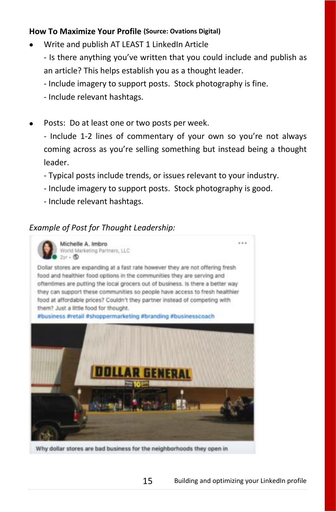#### **How To Maximize Your Profile (Source: Ovations Digital)**

- Write and publish AT LEAST 1 LinkedIn Article
	- Is there anything you've written that you could include and publish as an article? This helps establish you as a thought leader.
	- Include imagery to support posts. Stock photography is fine.
	- Include relevant hashtags.
- Posts: Do at least one or two posts per week.
	- Include 1-2 lines of commentary of your own so you're not always coming across as you're selling something but instead being a thought leader.
	- Typical posts include trends, or issues relevant to your industry.
	- Include imagery to support posts. Stock photography is good.
	- Include relevant hashtags.

#### *Example of Post for Thought Leadership:*



Why dollar stores are bad business for the neighborhoods they open in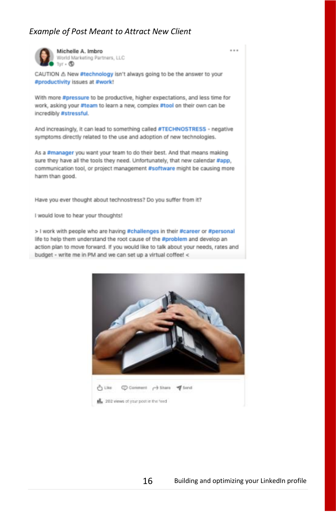#### *Example of Post Meant to Attract New Client*



Michelle A. Imbro World Marketing Partners, LLC  $1yr - Q$ 

CAUTION & New #technology isn't always going to be the answer to your #productivity issues at #work!

With more #pressure to be productive, higher expectations, and less time for work, asking your #team to learn a new, complex #tool on their own can be incredibly #stressful.

And increasingly, it can lead to something called #TECHNOSTRESS - negative symptoms directly related to the use and adoption of new technologies.

As a #manager you want your team to do their best. And that means making sure they have all the tools they need. Unfortunately, that new calendar #app, communication tool, or project management #software might be causing more harm than good.

Have you ever thought about technostress? Do you suffer from it?

I would love to hear your thoughts!

> I work with people who are having #challenges in their #career or #personal life to help them understand the root cause of the #problem and develop an action plan to move forward. If you would like to talk about your needs, rates and budget - write me in PM and we can set up a virtual coffee! <



 $...$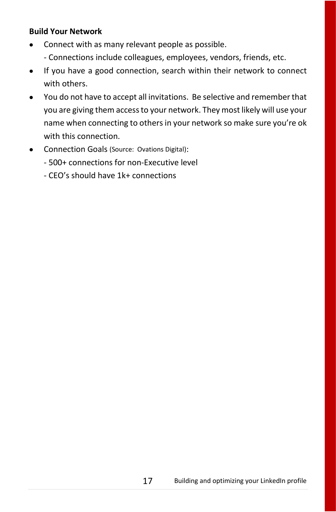#### **Build Your Network**

- Connect with as many relevant people as possible.
	- Connections include colleagues, employees, vendors, friends, etc.
- If you have a good connection, search within their network to connect with others.
- You do not have to accept all invitations. Be selective and remember that you are giving them access to your network. They most likely will use your name when connecting to others in your network so make sure you're ok with this connection.
- Connection Goals (Source: Ovations Digital):
	- 500+ connections for non-Executive level
	- CEO's should have 1k+ connections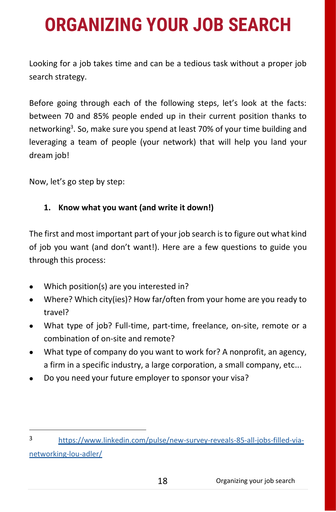# **ORGANIZING YOUR JOB SEARCH**

Looking for a job takes time and can be a tedious task without a proper job search strategy.

Before going through each of the following steps, let's look at the facts: between 70 and 85% people ended up in their current position thanks to networking<sup>3</sup>. So, make sure you spend at least 70% of your time building and leveraging a team of people (your network) that will help you land your dream job!

Now, let's go step by step:

#### **1. Know what you want (and write it down!)**

The first and most important part of your job search is to figure out what kind of job you want (and don't want!). Here are a few questions to guide you through this process:

- Which position(s) are you interested in?
- Where? Which city(ies)? How far/often from your home are you ready to travel?
- What type of job? Full-time, part-time, freelance, on-site, remote or a combination of on-site and remote?
- What type of company do you want to work for? A nonprofit, an agency, a firm in a specific industry, a large corporation, a small company, etc...
- Do you need your future employer to sponsor your visa?

<sup>3</sup> [https://www.linkedin.com/pulse/new-survey-reveals-85-all-jobs-filled-via](https://www.linkedin.com/pulse/new-survey-reveals-85-all-jobs-filled-via-networking-lou-adler/)[networking-lou-adler/](https://www.linkedin.com/pulse/new-survey-reveals-85-all-jobs-filled-via-networking-lou-adler/)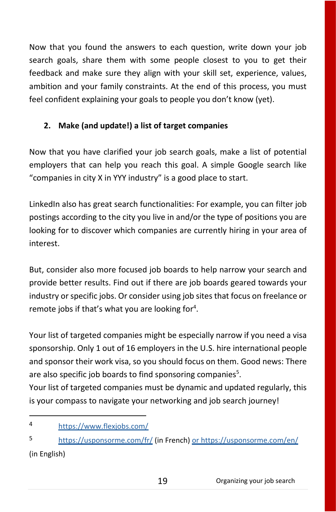Now that you found the answers to each question, write down your job search goals, share them with some people closest to you to get their feedback and make sure they align with your skill set, experience, values, ambition and your family constraints. At the end of this process, you must feel confident explaining your goals to people you don't know (yet).

## **2. Make (and update!) a list of target companies**

Now that you have clarified your job search goals, make a list of potential employers that can help you reach this goal. A simple Google search like "companies in city X in YYY industry" is a good place to start.

LinkedIn also has great search functionalities: For example, you can filter job postings according to the city you live in and/or the type of positions you are looking for to discover which companies are currently hiring in your area of interest.

But, consider also more focused job boards to help narrow your search and provide better results. Find out if there are job boards geared towards your industry or specific jobs. Or consider using job sites that focus on freelance or remote jobs if that's what you are looking for<sup>4</sup>.

Your list of targeted companies might be especially narrow if you need a visa sponsorship. Only 1 out of 16 employers in the U.S. hire international people and sponsor their work visa, so you should focus on them. Good news: There are also specific job boards to find sponsoring companies $5$ .

Your list of targeted companies must be dynamic and updated regularly, this is your compass to navigate your networking and job search journey!

5 <https://usponsorme.com/fr/> (in French[\) or https://usponsorme.com/en/](or%20https:/usponsorme.com/en/) (in English)

<sup>4</sup> <https://www.flexjobs.com/>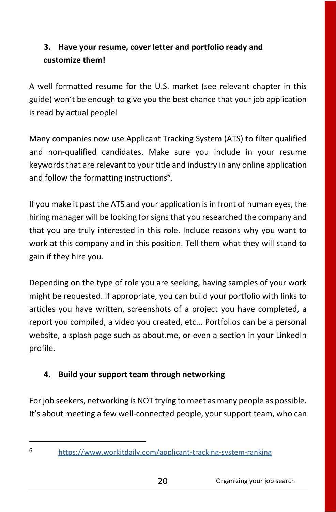## **3. Have your resume, cover letter and portfolio ready and customize them!**

A well formatted resume for the U.S. market (see relevant chapter in this guide) won't be enough to give you the best chance that your job application is read by actual people!

Many companies now use Applicant Tracking System (ATS) to filter qualified and non-qualified candidates. Make sure you include in your resume keywords that are relevant to your title and industry in any online application and follow the formatting instructions<sup>6</sup>.

If you make it past the ATS and your application is in front of human eyes, the hiring manager will be looking for signs that you researched the company and that you are truly interested in this role. Include reasons why you want to work at this company and in this position. Tell them what they will stand to gain if they hire you.

Depending on the type of role you are seeking, having samples of your work might be requested. If appropriate, you can build your portfolio with links to articles you have written, screenshots of a project you have completed, a report you compiled, a video you created, etc... Portfolios can be a personal website, a splash page such as about.me, or even a section in your LinkedIn profile.

### **4. Build your support team through networking**

For job seekers, networking is NOT trying to meet as many people as possible. It's about meeting a few well-connected people, your support team, who can

<sup>6</sup> <https://www.workitdaily.com/applicant-tracking-system-ranking>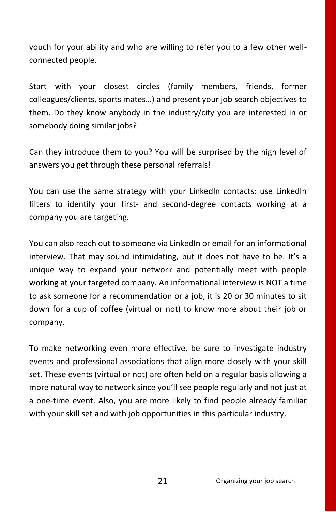vouch for your ability and who are willing to refer you to a few other wellconnected people.

Start with your closest circles (family members, friends, former colleagues/clients, sports mates…) and present your job search objectives to them. Do they know anybody in the industry/city you are interested in or somebody doing similar jobs?

Can they introduce them to you? You will be surprised by the high level of answers you get through these personal referrals!

You can use the same strategy with your LinkedIn contacts: use LinkedIn filters to identify your first- and second-degree contacts working at a company you are targeting.

You can also reach out to someone via LinkedIn or email for an informational interview. That may sound intimidating, but it does not have to be. It's a unique way to expand your network and potentially meet with people working at your targeted company. An informational interview is NOT a time to ask someone for a recommendation or a job, it is 20 or 30 minutes to sit down for a cup of coffee (virtual or not) to know more about their job or company.

To make networking even more effective, be sure to investigate industry events and professional associations that align more closely with your skill set. These events (virtual or not) are often held on a regular basis allowing a more natural way to network since you'll see people regularly and not just at a one-time event. Also, you are more likely to find people already familiar with your skill set and with job opportunities in this particular industry.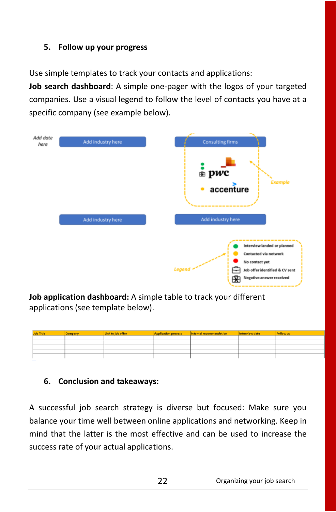#### **5. Follow up your progress**

Use simple templates to track your contacts and applications:

**Job search dashboard**: A simple one-pager with the logos of your targeted companies. Use a visual legend to follow the level of contacts you have at a specific company (see example below).



**Job application dashboard:** A simple table to track your different applications (see template below).

| <b>Job Title</b> | <b>Company</b> | Link to job offer | <b>Application process</b> | Internal recommandation | Interview date | <b>Follow up</b> |
|------------------|----------------|-------------------|----------------------------|-------------------------|----------------|------------------|
|                  |                |                   |                            |                         |                |                  |
|                  |                |                   |                            |                         |                |                  |
|                  |                |                   |                            |                         |                |                  |
|                  |                |                   |                            |                         |                |                  |
|                  |                |                   |                            |                         |                |                  |

#### **6. Conclusion and takeaways:**

A successful job search strategy is diverse but focused: Make sure you balance your time well between online applications and networking. Keep in mind that the latter is the most effective and can be used to increase the success rate of your actual applications.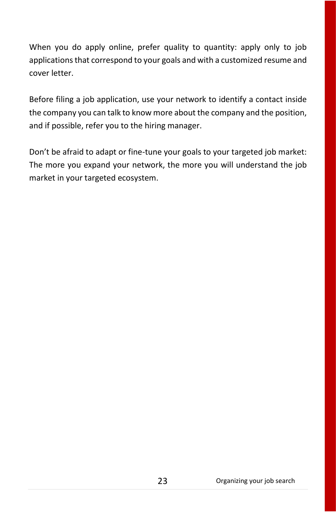When you do apply online, prefer quality to quantity: apply only to job applications that correspond to your goals and with a customized resume and cover letter.

Before filing a job application, use your network to identify a contact inside the company you can talk to know more about the company and the position, and if possible, refer you to the hiring manager.

Don't be afraid to adapt or fine-tune your goals to your targeted job market: The more you expand your network, the more you will understand the job market in your targeted ecosystem.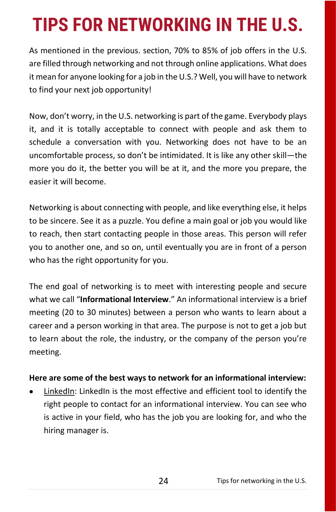# **TIPS FOR NETWORKING IN THE U.S.**

As mentioned in the previous. section, 70% to 85% of job offers in the U.S. are filled through networking and not through online applications. What does it mean for anyone looking for a job in the U.S.? Well, you will have to network to find your next job opportunity!

Now, don't worry, in the U.S. networking is part of the game. Everybody plays it, and it is totally acceptable to connect with people and ask them to schedule a conversation with you. Networking does not have to be an uncomfortable process, so don't be intimidated. It is like any other skill—the more you do it, the better you will be at it, and the more you prepare, the easier it will become.

Networking is about connecting with people, and like everything else, it helps to be sincere. See it as a puzzle. You define a main goal or job you would like to reach, then start contacting people in those areas. This person will refer you to another one, and so on, until eventually you are in front of a person who has the right opportunity for you.

The end goal of networking is to meet with interesting people and secure what we call "**Informational Interview**." An informational interview is a brief meeting (20 to 30 minutes) between a person who wants to learn about a career and a person working in that area. The purpose is not to get a job but to learn about the role, the industry, or the company of the person you're meeting.

#### **Here are some of the best ways to network for an informational interview:**

• LinkedIn: LinkedIn is the most effective and efficient tool to identify the right people to contact for an informational interview. You can see who is active in your field, who has the job you are looking for, and who the hiring manager is.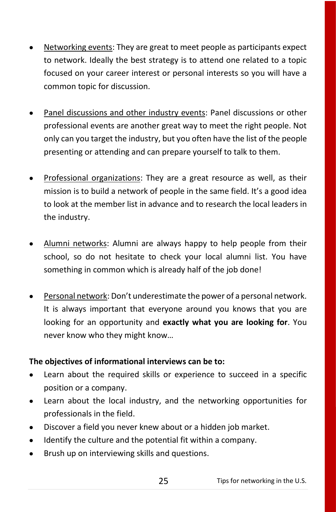- Networking events: They are great to meet people as participants expect to network. Ideally the best strategy is to attend one related to a topic focused on your career interest or personal interests so you will have a common topic for discussion.
- Panel discussions and other industry events: Panel discussions or other professional events are another great way to meet the right people. Not only can you target the industry, but you often have the list of the people presenting or attending and can prepare yourself to talk to them.
- Professional organizations: They are a great resource as well, as their mission is to build a network of people in the same field. It's a good idea to look at the member list in advance and to research the local leaders in the industry.
- Alumni networks: Alumni are always happy to help people from their school, so do not hesitate to check your local alumni list. You have something in common which is already half of the job done!
- Personal network: Don't underestimate the power of a personal network. It is always important that everyone around you knows that you are looking for an opportunity and **exactly what you are looking for**. You never know who they might know…

#### **The objectives of informational interviews can be to:**

- Learn about the required skills or experience to succeed in a specific position or a company.
- Learn about the local industry, and the networking opportunities for professionals in the field.
- Discover a field you never knew about or a hidden job market.
- Identify the culture and the potential fit within a company.
- Brush up on interviewing skills and questions.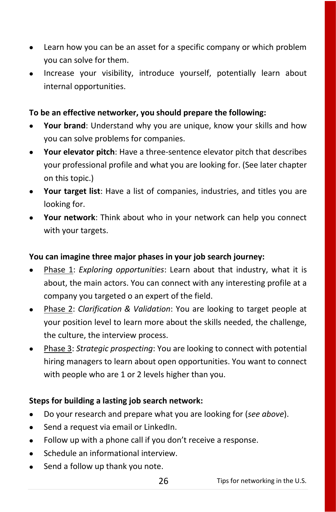- Learn how you can be an asset for a specific company or which problem you can solve for them.
- Increase your visibility, introduce yourself, potentially learn about internal opportunities.

#### **To be an effective networker, you should prepare the following:**

- **Your brand**: Understand why you are unique, know your skills and how you can solve problems for companies.
- **Your elevator pitch**: Have a three-sentence elevator pitch that describes your professional profile and what you are looking for. (See later chapter on this topic.)
- **Your target list**: Have a list of companies, industries, and titles you are looking for.
- **Your network**: Think about who in your network can help you connect with your targets.

#### **You can imagine three major phases in your job search journey:**

- Phase 1: *Exploring opportunities*: Learn about that industry, what it is about, the main actors. You can connect with any interesting profile at a company you targeted o an expert of the field.
- Phase 2: *Clarification & Validation*: You are looking to target people at your position level to learn more about the skills needed, the challenge, the culture, the interview process.
- Phase 3: *Strategic prospecting*: You are looking to connect with potential hiring managers to learn about open opportunities. You want to connect with people who are 1 or 2 levels higher than you.

#### **Steps for building a lasting job search network:**

- Do your research and prepare what you are looking for (*see above*).
- Send a request via email or LinkedIn.
- Follow up with a phone call if you don't receive a response.
- Schedule an informational interview.
- Send a follow up thank you note.

26 Tips for networking in the U.S.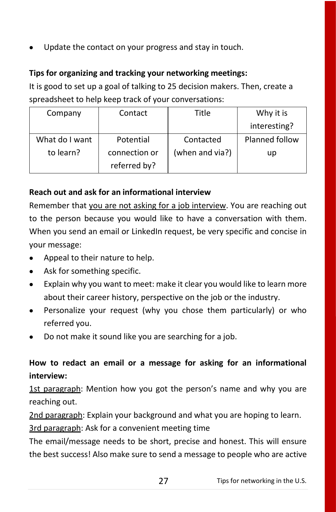Update the contact on your progress and stay in touch.

#### **Tips for organizing and tracking your networking meetings:**

It is good to set up a goal of talking to 25 decision makers. Then, create a spreadsheet to help keep track of your conversations:

| Why it is      |
|----------------|
| interesting?   |
| Planned follow |
| up             |
|                |

#### **Reach out and ask for an informational interview**

Remember that you are not asking for a job interview. You are reaching out to the person because you would like to have a conversation with them. When you send an email or LinkedIn request, be very specific and concise in your message:

- Appeal to their nature to help.
- Ask for something specific.
- Explain why you want to meet: make it clear you would like to learn more about their career history, perspective on the job or the industry.
- Personalize your request (why you chose them particularly) or who referred you.
- Do not make it sound like you are searching for a job.

### **How to redact an email or a message for asking for an informational interview:**

1st paragraph: Mention how you got the person's name and why you are reaching out.

2nd paragraph: Explain your background and what you are hoping to learn.

3rd paragraph: Ask for a convenient meeting time

The email/message needs to be short, precise and honest. This will ensure the best success! Also make sure to send a message to people who are active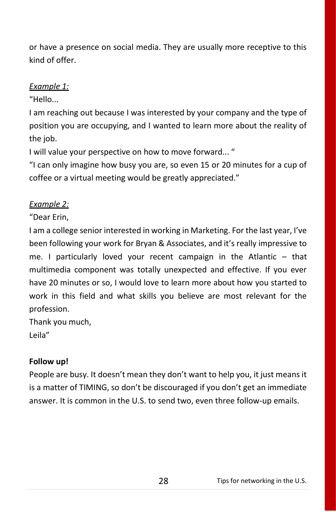or have a presence on social media. They are usually more receptive to this kind of offer.

#### *Example 1:*

"Hello...

I am reaching out because I was interested by your company and the type of position you are occupying, and I wanted to learn more about the reality of the job.

I will value your perspective on how to move forward... "

"I can only imagine how busy you are, so even 15 or 20 minutes for a cup of coffee or a virtual meeting would be greatly appreciated."

### *Example 2:*

"Dear Erin,

I am a college senior interested in working in Marketing. For the last year, I've been following your work for Bryan & Associates, and it's really impressive to me. I particularly loved your recent campaign in the Atlantic – that multimedia component was totally unexpected and effective. If you ever have 20 minutes or so, I would love to learn more about how you started to work in this field and what skills you believe are most relevant for the profession.

Thank you much, Leila"

#### **Follow up!**

People are busy. It doesn't mean they don't want to help you, it just means it is a matter of TIMING, so don't be discouraged if you don't get an immediate answer. It is common in the U.S. to send two, even three follow-up emails.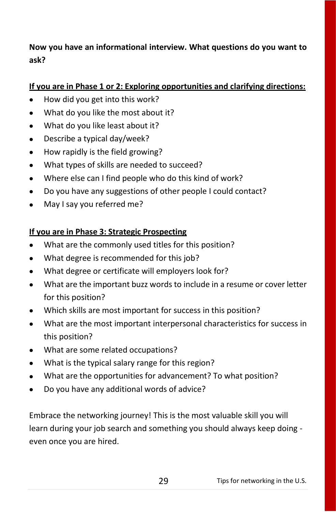### **Now you have an informational interview. What questions do you want to ask?**

#### **If you are in Phase 1 or 2: Exploring opportunities and clarifying directions:**

- How did you get into this work?
- What do you like the most about it?
- What do you like least about it?
- Describe a typical day/week?
- How rapidly is the field growing?
- What types of skills are needed to succeed?
- Where else can I find people who do this kind of work?
- Do you have any suggestions of other people I could contact?
- May I say you referred me?

#### **If you are in Phase 3: Strategic Prospecting**

- What are the commonly used titles for this position?
- What degree is recommended for this job?
- What degree or certificate will employers look for?
- What are the important buzz words to include in a resume or cover letter for this position?
- Which skills are most important for success in this position?
- What are the most important interpersonal characteristics for success in this position?
- What are some related occupations?
- What is the typical salary range for this region?
- What are the opportunities for advancement? To what position?
- Do you have any additional words of advice?

Embrace the networking journey! This is the most valuable skill you will learn during your job search and something you should always keep doing even once you are hired.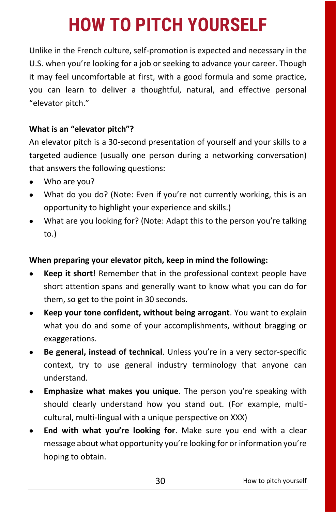# **HOW TO PITCH YOURSELF**

Unlike in the French culture, self-promotion is expected and necessary in the U.S. when you're looking for a job or seeking to advance your career. Though it may feel uncomfortable at first, with a good formula and some practice, you can learn to deliver a thoughtful, natural, and effective personal "elevator pitch."

#### **What is an "elevator pitch"?**

An elevator pitch is a 30-second presentation of yourself and your skills to a targeted audience (usually one person during a networking conversation) that answers the following questions:

- Who are you?
- What do you do? (Note: Even if you're not currently working, this is an opportunity to highlight your experience and skills.)
- What are you looking for? (Note: Adapt this to the person you're talking to.)

#### **When preparing your elevator pitch, keep in mind the following:**

- **Keep it short**! Remember that in the professional context people have short attention spans and generally want to know what you can do for them, so get to the point in 30 seconds.
- **Keep your tone confident, without being arrogant**. You want to explain what you do and some of your accomplishments, without bragging or exaggerations.
- **Be general, instead of technical**. Unless you're in a very sector-specific context, try to use general industry terminology that anyone can understand.
- **Emphasize what makes you unique**. The person you're speaking with should clearly understand how you stand out. (For example, multicultural, multi-lingual with a unique perspective on XXX)
- **End with what you're looking for**. Make sure you end with a clear message about what opportunity you're looking for or information you're hoping to obtain.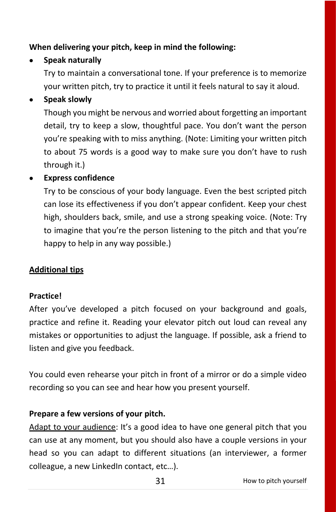#### **When delivering your pitch, keep in mind the following:**

#### • **Speak naturally**

Try to maintain a conversational tone. If your preference is to memorize your written pitch, try to practice it until it feels natural to say it aloud.

#### • **Speak slowly**

Though you might be nervous and worried about forgetting an important detail, try to keep a slow, thoughtful pace. You don't want the person you're speaking with to miss anything. (Note: Limiting your written pitch to about 75 words is a good way to make sure you don't have to rush through it.)

#### • **Express confidence**

Try to be conscious of your body language. Even the best scripted pitch can lose its effectiveness if you don't appear confident. Keep your chest high, shoulders back, smile, and use a strong speaking voice. (Note: Try to imagine that you're the person listening to the pitch and that you're happy to help in any way possible.)

#### **Additional tips**

#### **Practice!**

After you've developed a pitch focused on your background and goals, practice and refine it. Reading your elevator pitch out loud can reveal any mistakes or opportunities to adjust the language. If possible, ask a friend to listen and give you feedback.

You could even rehearse your pitch in front of a mirror or do a simple video recording so you can see and hear how you present yourself.

#### **Prepare a few versions of your pitch.**

Adapt to your audience: It's a good idea to have one general pitch that you can use at any moment, but you should also have a couple versions in your head so you can adapt to different situations (an interviewer, a former colleague, a new LinkedIn contact, etc…).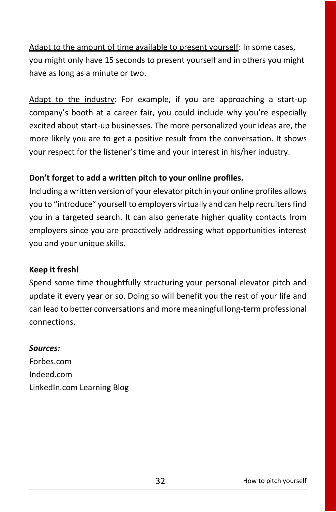Adapt to the amount of time available to present yourself: In some cases, you might only have 15 seconds to present yourself and in others you might have as long as a minute or two.

Adapt to the industry: For example, if you are approaching a start-up company's booth at a career fair, you could include why you're especially excited about start-up businesses. The more personalized your ideas are, the more likely you are to get a positive result from the conversation. It shows your respect for the listener's time and your interest in his/her industry.

#### **Don't forget to add a written pitch to your online profiles.**

Including a written version of your elevator pitch in your online profiles allows you to "introduce" yourself to employers virtually and can help recruiters find you in a targeted search. It can also generate higher quality contacts from employers since you are proactively addressing what opportunities interest you and your unique skills.

#### **Keep it fresh!**

Spend some time thoughtfully structuring your personal elevator pitch and update it every year or so. Doing so will benefit you the rest of your life and can lead to better conversations and more meaningful long-term professional connections.

#### *Sources:*

Forbes.com Indeed.com LinkedIn.com Learning Blog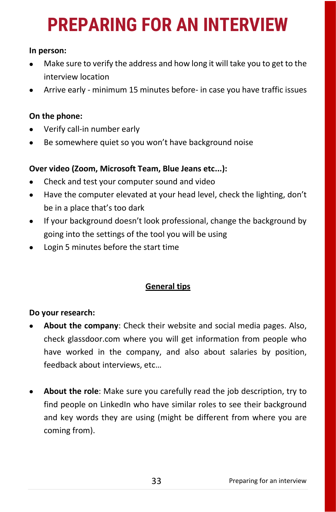# **PREPARING FOR AN INTERVIEW**

#### **In person:**

- Make sure to verify the address and how long it will take you to get to the interview location
- Arrive early minimum 15 minutes before- in case you have traffic issues

#### **On the phone:**

- Verify call-in number early
- Be somewhere quiet so you won't have background noise

### **Over video (Zoom, Microsoft Team, Blue Jeans etc...):**

- Check and test your computer sound and video
- Have the computer elevated at your head level, check the lighting, don't be in a place that's too dark
- If your background doesn't look professional, change the background by going into the settings of the tool you will be using
- Login 5 minutes before the start time

### **General tips**

#### **Do your research:**

- **About the company**: Check their website and social media pages. Also, check glassdoor.com where you will get information from people who have worked in the company, and also about salaries by position, feedback about interviews, etc…
- **About the role**: Make sure you carefully read the job description, try to find people on LinkedIn who have similar roles to see their background and key words they are using (might be different from where you are coming from).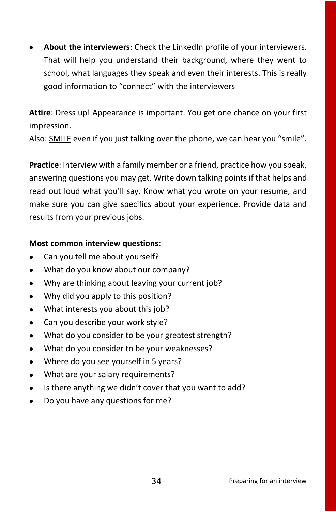• **About the interviewers**: Check the LinkedIn profile of your interviewers. That will help you understand their background, where they went to school, what languages they speak and even their interests. This is really good information to "connect" with the interviewers

**Attire**: Dress up! Appearance is important. You get one chance on your first impression.

Also: SMILE even if you just talking over the phone, we can hear you "smile".

**Practice**: Interview with a family member or a friend, practice how you speak, answering questions you may get. Write down talking points if that helps and read out loud what you'll say. Know what you wrote on your resume, and make sure you can give specifics about your experience. Provide data and results from your previous jobs.

#### **Most common interview questions**:

- Can you tell me about yourself?
- What do you know about our company?
- Why are thinking about leaving your current job?
- Why did you apply to this position?
- What interests you about this job?
- Can you describe your work style?
- What do you consider to be your greatest strength?
- What do you consider to be your weaknesses?
- Where do you see yourself in 5 years?
- What are your salary requirements?
- Is there anything we didn't cover that you want to add?
- Do you have any questions for me?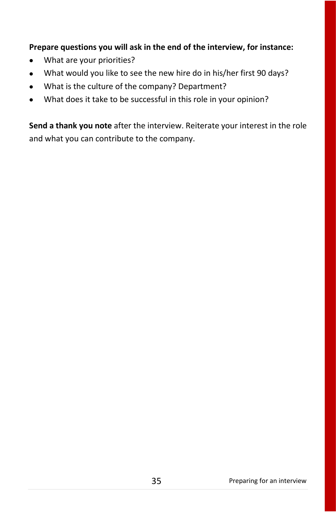#### **Prepare questions you will ask in the end of the interview, for instance:**

- What are your priorities?
- What would you like to see the new hire do in his/her first 90 days?
- What is the culture of the company? Department?
- What does it take to be successful in this role in your opinion?

**Send a thank you note** after the interview. Reiterate your interest in the role and what you can contribute to the company.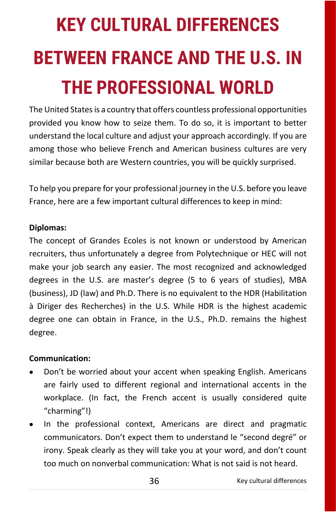# **KEY CULTURAL DIFFERENCES BETWEEN FRANCE AND THE U.S. IN THE PROFESSIONAL WORLD**

The United States is a country that offers countless professional opportunities provided you know how to seize them. To do so, it is important to better understand the local culture and adjust your approach accordingly. If you are among those who believe French and American business cultures are very similar because both are Western countries, you will be quickly surprised.

To help you prepare for your professional journey in the U.S. before you leave France, here are a few important cultural differences to keep in mind:

#### **Diplomas:**

The concept of Grandes Ecoles is not known or understood by American recruiters, thus unfortunately a degree from Polytechnique or HEC will not make your job search any easier. The most recognized and acknowledged degrees in the U.S. are master's degree (5 to 6 years of studies), MBA (business), JD (law) and Ph.D. There is no equivalent to the HDR (Habilitation à Diriger des Recherches) in the U.S. While HDR is the highest academic degree one can obtain in France, in the U.S., Ph.D. remains the highest degree.

### **Communication:**

- Don't be worried about your accent when speaking English. Americans are fairly used to different regional and international accents in the workplace. (In fact, the French accent is usually considered quite "charming"!)
- In the professional context, Americans are direct and pragmatic communicators. Don't expect them to understand le "second degré" or irony. Speak clearly as they will take you at your word, and don't count too much on nonverbal communication: What is not said is not heard.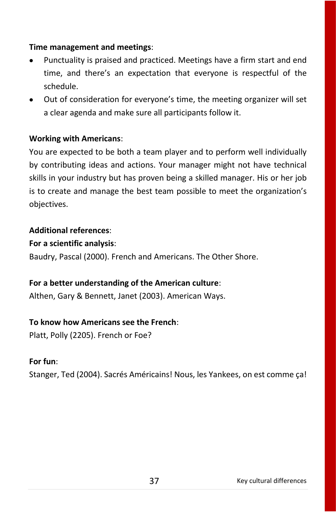#### **Time management and meetings**:

- Punctuality is praised and practiced. Meetings have a firm start and end time, and there's an expectation that everyone is respectful of the schedule.
- Out of consideration for everyone's time, the meeting organizer will set a clear agenda and make sure all participants follow it.

#### **Working with Americans**:

You are expected to be both a team player and to perform well individually by contributing ideas and actions. Your manager might not have technical skills in your industry but has proven being a skilled manager. His or her job is to create and manage the best team possible to meet the organization's objectives.

#### **Additional references**:

#### **For a scientific analysis**:

Baudry, Pascal (2000). French and Americans. The Other Shore.

#### **For a better understanding of the American culture**:

Althen, Gary & Bennett, Janet (2003). American Ways.

#### **To know how Americans see the French**:

Platt, Polly (2205). French or Foe?

#### **For fun**:

Stanger, Ted (2004). Sacrés Américains! Nous, les Yankees, on est comme ça!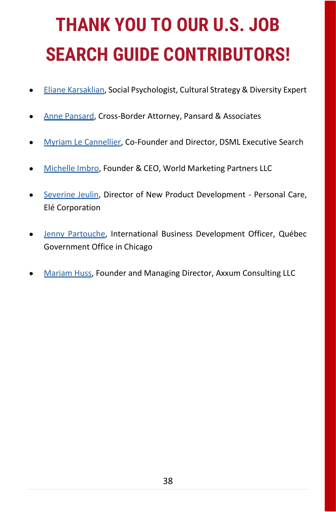# **THANK YOU TO OUR U.S. JOB SEARCH GUIDE CONTRIBUTORS!**

- [Eliane Karsaklian,](https://www.linkedin.com/in/elianekarsaklian/) Social Psychologist, Cultural Strategy & Diversity Expert
- [Anne Pansard,](https://www.linkedin.com/in/anne-pansard-2181992/) Cross-Border Attorney, Pansard & Associates
- [Myriam Le Cannellier,](https://www.linkedin.com/in/dsmlexecutivesearch/) Co-Founder and Director, DSML Executive Search
- [Michelle Imbro,](https://www.linkedin.com/in/michelle-a-imbro-9ab52b6/) Founder & CEO, World Marketing Partners LLC
- [Severine Jeulin,](https://www.linkedin.com/in/severine-jeulin/) Director of New Product Development Personal Care, Elé Corporation
- [Jenny Partouche,](https://www.linkedin.com/in/jennypartouche/) International Business Development Officer, Québec Government Office in Chicago
- **[Mariam Huss,](https://www.linkedin.com/in/mariamhuss/) Founder and Managing Director, Axxum Consulting LLC**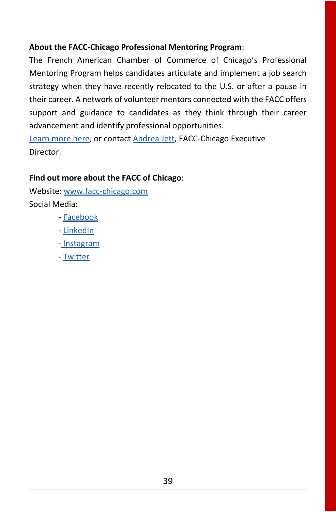#### **About the FACC-Chicago Professional Mentoring Program**:

The French American Chamber of Commerce of Chicago's Professional Mentoring Program helps candidates articulate and implement a job search strategy when they have recently relocated to the U.S. or after a pause in their career. A network of volunteer mentors connected with the FACC offers support and guidance to candidates as they think through their career advancement and identify professional opportunities.

[Learn more here,](https://www.facc-chicago.com/committees/professional-mentoring-program.html) or contact [Andrea Jett,](mailto:ajfletcher@facc-chicago.com) FACC-Chicago Executive Director.

#### **Find out more about the FACC of Chicago**:

Website[: www.facc-chicago.com](www.facc-chicago.com) Social Media:

- [Facebook](https://www.facebook.com/faccchicago)
- [LinkedIn](https://www.linkedin.com/company/french-american-chamber-of-commerce-chicago-chapter/)
- [Instagram](https://www.instagram.com/faccofchicago/)
- [Twitter](https://twitter.com/FACCchicago?ref_src=twsrc%5Egoogle%7Ctwcamp%5Eserp%7Ctwgr%5Eauthor)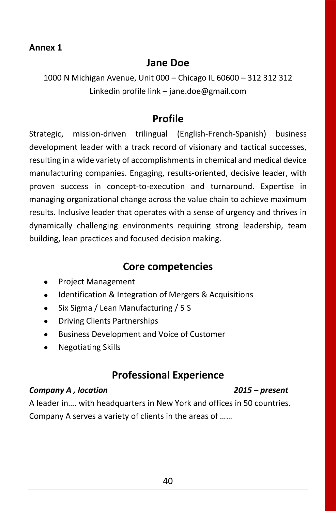#### **Annex 1**

### **Jane Doe**

1000 N Michigan Avenue, Unit 000 – Chicago IL 60600 – 312 312 312 Linkedin profile link – jane.doe@gmail.com

### **Profile**

Strategic, mission-driven trilingual (English-French-Spanish) business development leader with a track record of visionary and tactical successes, resulting in a wide variety of accomplishments in chemical and medical device manufacturing companies. Engaging, results-oriented, decisive leader, with proven success in concept-to-execution and turnaround. Expertise in managing organizational change across the value chain to achieve maximum results. Inclusive leader that operates with a sense of urgency and thrives in dynamically challenging environments requiring strong leadership, team building, lean practices and focused decision making.

# **Core competencies**

- Project Management
- Identification & Integration of Mergers & Acquisitions
- Six Sigma / Lean Manufacturing / 5 S
- Driving Clients Partnerships
- Business Development and Voice of Customer
- Negotiating Skills

# **Professional Experience**

#### *Company A , location 2015 – present*

A leader in…. with headquarters in New York and offices in 50 countries. Company A serves a variety of clients in the areas of ……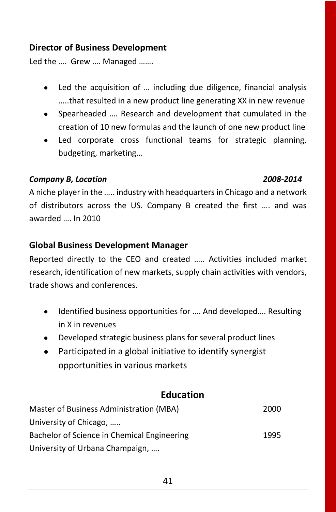### **Director of Business Development**

Led the …. Grew …. Managed …….

- Led the acquisition of … including due diligence, financial analysis …..that resulted in a new product line generating XX in new revenue
- Spearheaded …. Research and development that cumulated in the creation of 10 new formulas and the launch of one new product line
- Led corporate cross functional teams for strategic planning, budgeting, marketing…

#### *Company B, Location 2008-2014*

A niche player in the ….. industry with headquarters in Chicago and a network of distributors across the US. Company B created the first …. and was awarded …. In 2010

#### **Global Business Development Manager**

Reported directly to the CEO and created ….. Activities included market research, identification of new markets, supply chain activities with vendors, trade shows and conferences.

- Identified business opportunities for …. And developed…. Resulting in X in revenues
- Developed strategic business plans for several product lines
- Participated in a global initiative to identify synergist opportunities in various markets

### **Education**

| Master of Business Administration (MBA)     | 2000 |
|---------------------------------------------|------|
| University of Chicago,                      |      |
| Bachelor of Science in Chemical Engineering | 1995 |
| University of Urbana Champaign,             |      |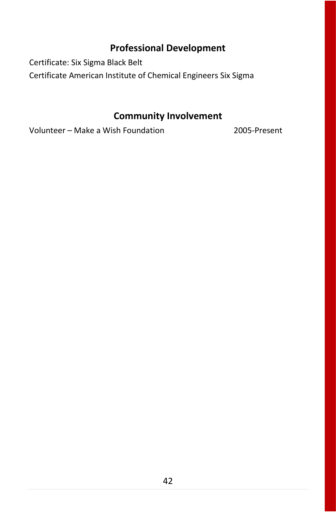## **Professional Development**

Certificate: Six Sigma Black Belt

Certificate American Institute of Chemical Engineers Six Sigma

# **Community Involvement**

Volunteer – Make a Wish Foundation 2005-Present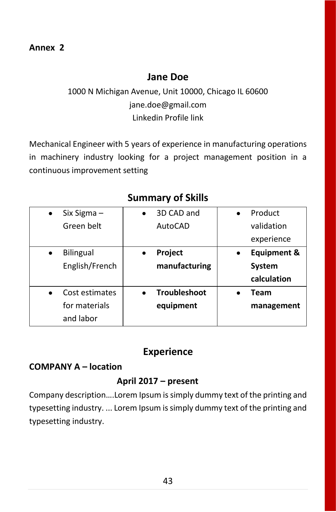#### **Annex 2**

## **Jane Doe**

# 1000 N Michigan Avenue, Unit 10000, Chicago IL 60600 jane.doe@gmail.com Linkedin Profile link

Mechanical Engineer with 5 years of experience in manufacturing operations in machinery industry looking for a project management position in a continuous improvement setting

### **Summary of Skills**

| $\bullet$ | Six Sigma -      |           | 3D CAD and          | Product                |
|-----------|------------------|-----------|---------------------|------------------------|
|           | Green belt       |           | AutoCAD             | validation             |
|           |                  |           |                     | experience             |
| $\bullet$ | <b>Bilingual</b> | $\bullet$ | <b>Project</b>      | <b>Equipment &amp;</b> |
|           | English/French   |           | manufacturing       | System                 |
|           |                  |           |                     | calculation            |
| $\bullet$ | Cost estimates   | $\bullet$ | <b>Troubleshoot</b> | Team                   |
|           | for materials    |           | equipment           | management             |
|           | and labor        |           |                     |                        |

# **Experience**

#### **COMPANY A – location**

#### **April 2017 – present**

Company description….Lorem Ipsum is simply dummy text of the printing and typesetting industry. ... Lorem Ipsum is simply dummy text of the printing and typesetting industry.